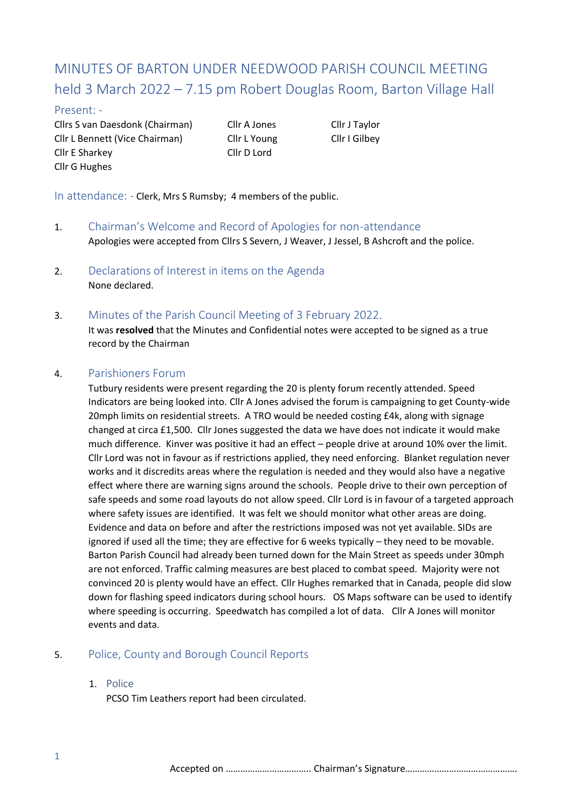# MINUTES OF BARTON UNDER NEEDWOOD PARISH COUNCIL MEETING held 3 March 2022 – 7.15 pm Robert Douglas Room, Barton Village Hall

#### Present: -

Cllrs S van Daesdonk (Chairman) Cllr A Jones Cllr J Taylor Cllr L Bennett (Vice Chairman) Cllr L Young Cllr I Gilbey Cllr E Sharkey Cllr D Lord Cllr G Hughes

In attendance: - Clerk, Mrs S Rumsby; 4 members of the public.

- 1. Chairman's Welcome and Record of Apologies for non-attendance Apologies were accepted from Cllrs S Severn, J Weaver, J Jessel, B Ashcroft and the police.
- 2. Declarations of Interest in items on the Agenda None declared.
- 3. Minutes of the Parish Council Meeting of 3 February 2022.

It was **resolved** that the Minutes and Confidential notes were accepted to be signed as a true record by the Chairman

## 4. Parishioners Forum

Tutbury residents were present regarding the 20 is plenty forum recently attended. Speed Indicators are being looked into. Cllr A Jones advised the forum is campaigning to get County-wide 20mph limits on residential streets. A TRO would be needed costing £4k, along with signage changed at circa £1,500. Cllr Jones suggested the data we have does not indicate it would make much difference. Kinver was positive it had an effect – people drive at around 10% over the limit. Cllr Lord was not in favour as if restrictions applied, they need enforcing. Blanket regulation never works and it discredits areas where the regulation is needed and they would also have a negative effect where there are warning signs around the schools. People drive to their own perception of safe speeds and some road layouts do not allow speed. Cllr Lord is in favour of a targeted approach where safety issues are identified. It was felt we should monitor what other areas are doing. Evidence and data on before and after the restrictions imposed was not yet available. SIDs are ignored if used all the time; they are effective for 6 weeks typically – they need to be movable. Barton Parish Council had already been turned down for the Main Street as speeds under 30mph are not enforced. Traffic calming measures are best placed to combat speed. Majority were not convinced 20 is plenty would have an effect. Cllr Hughes remarked that in Canada, people did slow down for flashing speed indicators during school hours. OS Maps software can be used to identify where speeding is occurring. Speedwatch has compiled a lot of data. Cllr A Jones will monitor events and data.

## 5. Police, County and Borough Council Reports

#### 1. Police

PCSO Tim Leathers report had been circulated.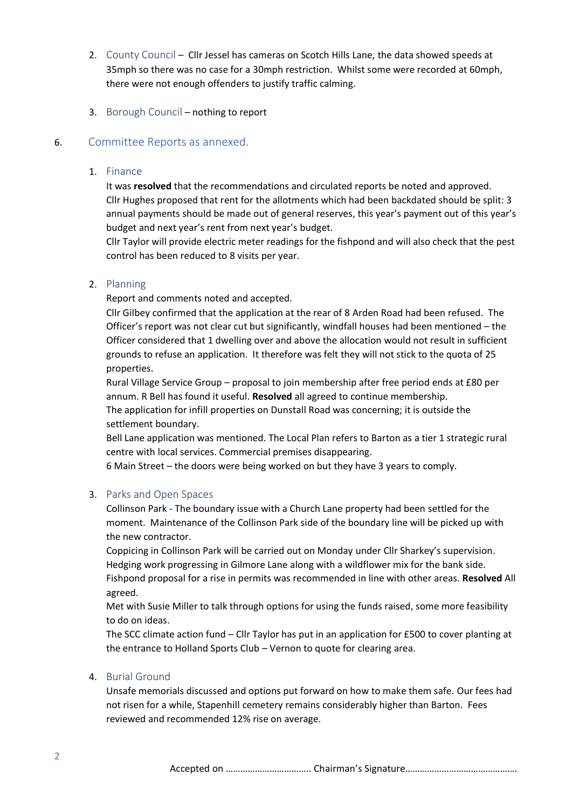- 2. County Council Cllr Jessel has cameras on Scotch Hills Lane, the data showed speeds at 35mph so there was no case for a 30mph restriction. Whilst some were recorded at 60mph, there were not enough offenders to justify traffic calming.
- 3. Borough Council nothing to report

## 6. Committee Reports as annexed.

#### 1. Finance

It was **resolved** that the recommendations and circulated reports be noted and approved. Cllr Hughes proposed that rent for the allotments which had been backdated should be split: 3 annual payments should be made out of general reserves, this year's payment out of this year's budget and next year's rent from next year's budget.

Cllr Taylor will provide electric meter readings for the fishpond and will also check that the pest control has been reduced to 8 visits per year.

## 2. Planning

Report and comments noted and accepted.

Cllr Gilbey confirmed that the application at the rear of 8 Arden Road had been refused. The Officer's report was not clear cut but significantly, windfall houses had been mentioned – the Officer considered that 1 dwelling over and above the allocation would not result in sufficient grounds to refuse an application. It therefore was felt they will not stick to the quota of 25 properties.

Rural Village Service Group – proposal to join membership after free period ends at £80 per annum. R Bell has found it useful. **Resolved** all agreed to continue membership.

The application for infill properties on Dunstall Road was concerning; it is outside the settlement boundary.

Bell Lane application was mentioned. The Local Plan refers to Barton as a tier 1 strategic rural centre with local services. Commercial premises disappearing.

6 Main Street – the doors were being worked on but they have 3 years to comply.

#### 3. Parks and Open Spaces

Collinson Park - The boundary issue with a Church Lane property had been settled for the moment. Maintenance of the Collinson Park side of the boundary line will be picked up with the new contractor.

Coppicing in Collinson Park will be carried out on Monday under Cllr Sharkey's supervision. Hedging work progressing in Gilmore Lane along with a wildflower mix for the bank side. Fishpond proposal for a rise in permits was recommended in line with other areas. **Resolved** All agreed.

Met with Susie Miller to talk through options for using the funds raised, some more feasibility to do on ideas.

The SCC climate action fund – Cllr Taylor has put in an application for £500 to cover planting at the entrance to Holland Sports Club – Vernon to quote for clearing area.

#### 4. Burial Ground

Unsafe memorials discussed and options put forward on how to make them safe. Our fees had not risen for a while, Stapenhill cemetery remains considerably higher than Barton. Fees reviewed and recommended 12% rise on average.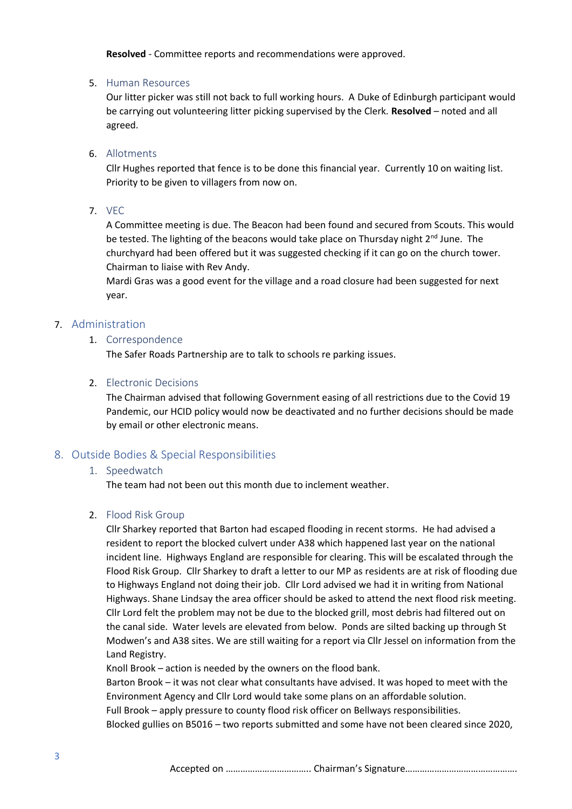**Resolved** - Committee reports and recommendations were approved.

#### 5. Human Resources

Our litter picker was still not back to full working hours. A Duke of Edinburgh participant would be carrying out volunteering litter picking supervised by the Clerk. **Resolved** – noted and all agreed.

## 6. Allotments

Cllr Hughes reported that fence is to be done this financial year. Currently 10 on waiting list. Priority to be given to villagers from now on.

7. VEC

A Committee meeting is due. The Beacon had been found and secured from Scouts. This would be tested. The lighting of the beacons would take place on Thursday night 2<sup>nd</sup> June. The churchyard had been offered but it was suggested checking if it can go on the church tower. Chairman to liaise with Rev Andy.

Mardi Gras was a good event for the village and a road closure had been suggested for next year.

## 7. Administration

#### 1. Correspondence

The Safer Roads Partnership are to talk to schools re parking issues.

#### 2. Electronic Decisions

The Chairman advised that following Government easing of all restrictions due to the Covid 19 Pandemic, our HCID policy would now be deactivated and no further decisions should be made by email or other electronic means.

## 8. Outside Bodies & Special Responsibilities

## 1. Speedwatch

The team had not been out this month due to inclement weather.

#### 2. Flood Risk Group

Cllr Sharkey reported that Barton had escaped flooding in recent storms. He had advised a resident to report the blocked culvert under A38 which happened last year on the national incident line. Highways England are responsible for clearing. This will be escalated through the Flood Risk Group. Cllr Sharkey to draft a letter to our MP as residents are at risk of flooding due to Highways England not doing their job. Cllr Lord advised we had it in writing from National Highways. Shane Lindsay the area officer should be asked to attend the next flood risk meeting. Cllr Lord felt the problem may not be due to the blocked grill, most debris had filtered out on the canal side. Water levels are elevated from below. Ponds are silted backing up through St Modwen's and A38 sites. We are still waiting for a report via Cllr Jessel on information from the Land Registry.

Knoll Brook – action is needed by the owners on the flood bank.

Barton Brook – it was not clear what consultants have advised. It was hoped to meet with the Environment Agency and Cllr Lord would take some plans on an affordable solution. Full Brook – apply pressure to county flood risk officer on Bellways responsibilities. Blocked gullies on B5016 – two reports submitted and some have not been cleared since 2020,